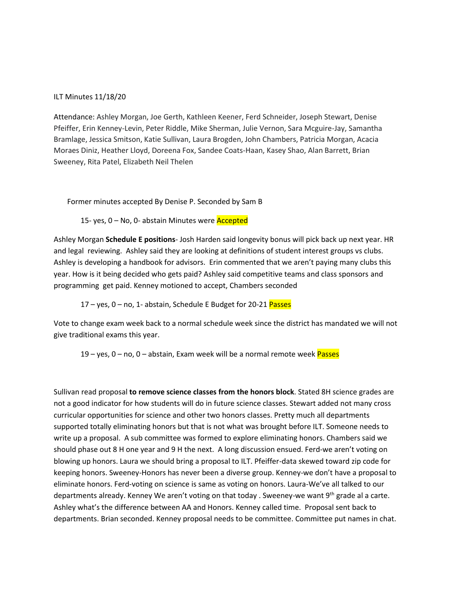#### ILT Minutes 11/18/20

Attendance: Ashley Morgan, Joe Gerth, Kathleen Keener, Ferd Schneider, Joseph Stewart, Denise Pfeiffer, Erin Kenney-Levin, Peter Riddle, Mike Sherman, Julie Vernon, Sara Mcguire-Jay, Samantha Bramlage, Jessica Smitson, Katie Sullivan, Laura Brogden, John Chambers, Patricia Morgan, Acacia Moraes Diniz, Heather Lloyd, Doreena Fox, Sandee Coats-Haan, Kasey Shao, Alan Barrett, Brian Sweeney, Rita Patel, Elizabeth Neil Thelen

Former minutes accepted By Denise P. Seconded by Sam B

15- yes, 0 - No, 0- abstain Minutes were **Accepted** 

Ashley Morgan **Schedule E positions**- Josh Harden said longevity bonus will pick back up next year. HR and legal reviewing. Ashley said they are looking at definitions of student interest groups vs clubs. Ashley is developing a handbook for advisors. Erin commented that we aren't paying many clubs this year. How is it being decided who gets paid? Ashley said competitive teams and class sponsors and programming get paid. Kenney motioned to accept, Chambers seconded

 $17 -$ yes,  $0 -$ no, 1- abstain, Schedule E Budget for 20-21 Passes

Vote to change exam week back to a normal schedule week since the district has mandated we will not give traditional exams this year.

19 – yes, 0 – no, 0 – abstain, Exam week will be a normal remote week Passes

Sullivan read proposal **to remove science classes from the honors block**. Stated 8H science grades are not a good indicator for how students will do in future science classes. Stewart added not many cross curricular opportunities for science and other two honors classes. Pretty much all departments supported totally eliminating honors but that is not what was brought before ILT. Someone needs to write up a proposal. A sub committee was formed to explore eliminating honors. Chambers said we should phase out 8 H one year and 9 H the next. A long discussion ensued. Ferd-we aren't voting on blowing up honors. Laura we should bring a proposal to ILT. Pfeiffer-data skewed toward zip code for keeping honors. Sweeney-Honors has never been a diverse group. Kenney-we don't have a proposal to eliminate honors. Ferd-voting on science is same as voting on honors. Laura-We've all talked to our departments already. Kenney We aren't voting on that today . Sweeney-we want 9th grade al a carte. Ashley what's the difference between AA and Honors. Kenney called time. Proposal sent back to departments. Brian seconded. Kenney proposal needs to be committee. Committee put names in chat.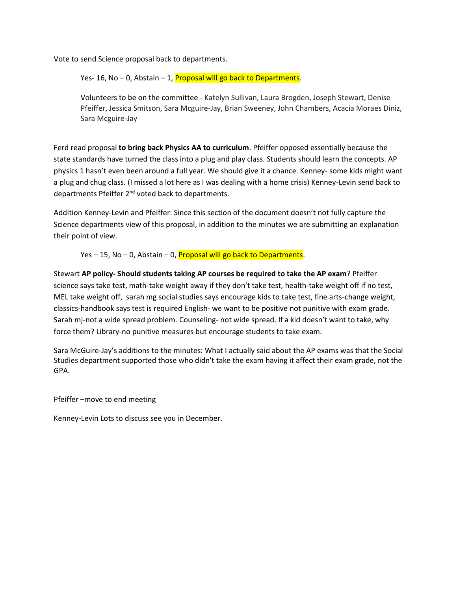Vote to send Science proposal back to departments.

Yes- 16, No - 0, Abstain - 1, Proposal will go back to Departments.

Volunteers to be on the committee - Katelyn Sullivan, Laura Brogden, Joseph Stewart, Denise Pfeiffer, Jessica Smitson, Sara Mcguire-Jay, Brian Sweeney, John Chambers, Acacia Moraes Diniz, Sara Mcguire-Jay

Ferd read proposal **to bring back Physics AA to curriculum**. Pfeiffer opposed essentially because the state standards have turned the class into a plug and play class. Students should learn the concepts. AP physics 1 hasn't even been around a full year. We should give it a chance. Kenney- some kids might want a plug and chug class. (I missed a lot here as I was dealing with a home crisis) Kenney-Levin send back to departments Pfeiffer 2<sup>nd</sup> voted back to departments.

Addition Kenney-Levin and Pfeiffer: Since this section of the document doesn't not fully capture the Science departments view of this proposal, in addition to the minutes we are submitting an explanation their point of view.

Yes  $-$  15, No  $-$  0, Abstain  $-$  0, Proposal will go back to Departments.

Stewart **AP policy- Should students taking AP courses be required to take the AP exam**? Pfeiffer science says take test, math-take weight away if they don't take test, health-take weight off if no test, MEL take weight off, sarah mg social studies says encourage kids to take test, fine arts-change weight, classics-handbook says test is required English- we want to be positive not punitive with exam grade. Sarah mj-not a wide spread problem. Counseling- not wide spread. If a kid doesn't want to take, why force them? Library-no punitive measures but encourage students to take exam.

Sara McGuire-Jay's additions to the minutes: What I actually said about the AP exams was that the Social Studies department supported those who didn't take the exam having it affect their exam grade, not the GPA.

Pfeiffer –move to end meeting

Kenney-Levin Lots to discuss see you in December.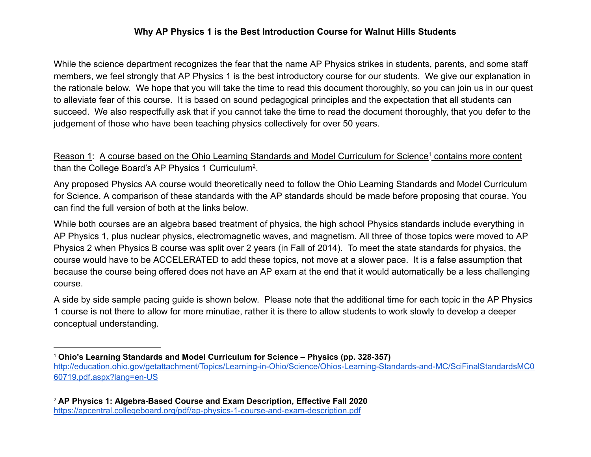### **Why AP Physics 1 is the Best Introduction Course for Walnut Hills Students**

While the science department recognizes the fear that the name AP Physics strikes in students, parents, and some staff members, we feel strongly that AP Physics 1 is the best introductory course for our students. We give our explanation in the rationale below. We hope that you will take the time to read this document thoroughly, so you can join us in our quest to alleviate fear of this course. It is based on sound pedagogical principles and the expectation that all students can succeed. We also respectfully ask that if you cannot take the time to read the document thoroughly, that you defer to the judgement of those who have been teaching physics collectively for over 50 years.

## Reason 1: A course based on the Ohio Learning Standards and Model Curriculum for Science<sup>1</sup> contains more content than the College Board's AP Physics 1 Curriculum<sup>2</sup>.

Any proposed Physics AA course would theoretically need to follow the Ohio Learning Standards and Model Curriculum for Science. A comparison of these standards with the AP standards should be made before proposing that course. You can find the full version of both at the links below.

While both courses are an algebra based treatment of physics, the high school Physics standards include everything in AP Physics 1, plus nuclear physics, electromagnetic waves, and magnetism. All three of those topics were moved to AP Physics 2 when Physics B course was split over 2 years (in Fall of 2014). To meet the state standards for physics, the course would have to be ACCELERATED to add these topics, not move at a slower pace. It is a false assumption that because the course being offered does not have an AP exam at the end that it would automatically be a less challenging course.

A side by side sample pacing guide is shown below. Please note that the additional time for each topic in the AP Physics 1 course is not there to allow for more minutiae, rather it is there to allow students to work slowly to develop a deeper conceptual understanding.

<sup>1</sup> **Ohio's Learning Standards and Model Curriculum for Science – Physics (pp. 328-357)** http://education.ohio.gov/getattachment/Topics/Learning-in-Ohio/Science/Ohios-Learning-Standards-and-MC/SciFinalStandardsMC0 60719.pdf.aspx?lang=en-US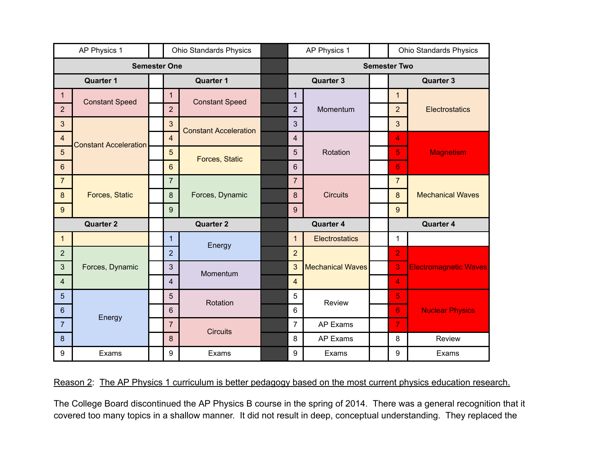| AP Physics 1        |                              |  | <b>Ohio Standards Physics</b> |                                                |  | AP Physics 1        |                         |                  | <b>Ohio Standards Physics</b> |                              |
|---------------------|------------------------------|--|-------------------------------|------------------------------------------------|--|---------------------|-------------------------|------------------|-------------------------------|------------------------------|
| <b>Semester One</b> |                              |  |                               |                                                |  | <b>Semester Two</b> |                         |                  |                               |                              |
| <b>Quarter 1</b>    |                              |  | <b>Quarter 1</b>              |                                                |  | <b>Quarter 3</b>    |                         |                  | <b>Quarter 3</b>              |                              |
| $\mathbf{1}$        | <b>Constant Speed</b>        |  | $\mathbf{1}$                  | <b>Constant Speed</b>                          |  | 1                   | Momentum                |                  | $\mathbf{1}$                  | Electrostatics               |
| 2 <sup>1</sup>      |                              |  | $\overline{2}$                |                                                |  | $\overline{2}$      |                         |                  | $\overline{2}$                |                              |
| $\mathfrak{S}$      | <b>Constant Acceleration</b> |  | 3                             | <b>Constant Acceleration</b><br>Forces, Static |  | 3                   |                         |                  | $\overline{3}$                |                              |
| $\overline{4}$      |                              |  | $\overline{4}$                |                                                |  | $\overline{4}$      | Rotation                |                  | 4                             | <b>Magnetism</b>             |
| $5\phantom{.0}$     |                              |  | 5                             |                                                |  | 5                   |                         |                  | 5                             |                              |
| 6                   |                              |  | $6\phantom{1}$                |                                                |  | 6                   |                         |                  | 6                             |                              |
| $\overline{7}$      | <b>Forces, Static</b>        |  | $\overline{7}$                | Forces, Dynamic                                |  | $\overline{7}$      | <b>Circuits</b>         |                  | $\overline{7}$                | <b>Mechanical Waves</b>      |
| $\boldsymbol{8}$    |                              |  | 8                             |                                                |  | 8                   |                         |                  | $\boldsymbol{8}$              |                              |
| $9\,$               |                              |  | 9                             |                                                |  | 9                   |                         |                  | 9                             |                              |
| <b>Quarter 2</b>    |                              |  | <b>Quarter 2</b>              |                                                |  | <b>Quarter 4</b>    |                         | <b>Quarter 4</b> |                               |                              |
| $\mathbf{1}$        |                              |  | $\mathbf{1}$                  | Energy                                         |  | $\mathbf 1$         | <b>Electrostatics</b>   |                  | $\mathbf{1}$                  |                              |
| $\overline{2}$      | Forces, Dynamic              |  | $\overline{2}$                | Momentum                                       |  | $\overline{2}$      | <b>Mechanical Waves</b> |                  | $\overline{2}$                | <b>Electromagnetic Waves</b> |
| $\mathfrak{S}$      |                              |  | 3                             |                                                |  | 3                   |                         |                  | 3                             |                              |
| $\overline{4}$      |                              |  | 4                             |                                                |  | $\overline{4}$      |                         |                  | $\overline{4}$                |                              |
| $5\phantom{.}$      | Energy                       |  | 5                             | Rotation                                       |  | 5                   | Review                  |                  | 5                             |                              |
| 6                   |                              |  | 6                             |                                                |  | 6                   |                         |                  | 6                             | <b>Nuclear Physics</b>       |
| $\overline{7}$      |                              |  | $\overline{7}$                | <b>Circuits</b>                                |  | $\overline{7}$      | AP Exams                |                  | $\overline{7}$                |                              |
| 8                   |                              |  | $\boldsymbol{8}$              |                                                |  | 8                   | AP Exams                |                  | 8                             | Review                       |
| 9                   | Exams                        |  | 9                             | Exams                                          |  | 9                   | Exams                   |                  | 9                             | Exams                        |

# Reason 2: The AP Physics 1 curriculum is better pedagogy based on the most current physics education research.

The College Board discontinued the AP Physics B course in the spring of 2014. There was a general recognition that it covered too many topics in a shallow manner. It did not result in deep, conceptual understanding. They replaced the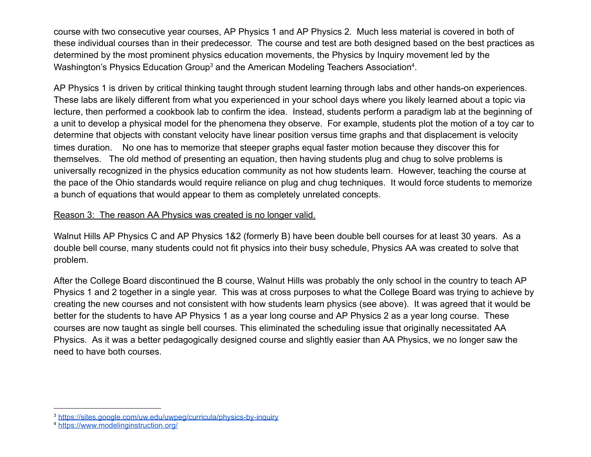course with two consecutive year courses, AP Physics 1 and AP Physics 2. Much less material is covered in both of these individual courses than in their predecessor. The course and test are both designed based on the best practices as determined by the most prominent physics education movements, the Physics by Inquiry movement led by the Washington's Physics Education Group $^3$  and the American Modeling Teachers Association $^4$ .

AP Physics 1 is driven by critical thinking taught through student learning through labs and other hands-on experiences. These labs are likely different from what you experienced in your school days where you likely learned about a topic via lecture, then performed a cookbook lab to confirm the idea. Instead, students perform a paradigm lab at the beginning of a unit to develop a physical model for the phenomena they observe. For example, students plot the motion of a toy car to determine that objects with constant velocity have linear position versus time graphs and that displacement is velocity times duration. No one has to memorize that steeper graphs equal faster motion because they discover this for themselves. The old method of presenting an equation, then having students plug and chug to solve problems is universally recognized in the physics education community as not how students learn. However, teaching the course at the pace of the Ohio standards would require reliance on plug and chug techniques. It would force students to memorize a bunch of equations that would appear to them as completely unrelated concepts.

### Reason 3: The reason AA Physics was created is no longer valid.

Walnut Hills AP Physics C and AP Physics 1&2 (formerly B) have been double bell courses for at least 30 years. As a double bell course, many students could not fit physics into their busy schedule, Physics AA was created to solve that problem.

After the College Board discontinued the B course, Walnut Hills was probably the only school in the country to teach AP Physics 1 and 2 together in a single year. This was at cross purposes to what the College Board was trying to achieve by creating the new courses and not consistent with how students learn physics (see above). It was agreed that it would be better for the students to have AP Physics 1 as a year long course and AP Physics 2 as a year long course. These courses are now taught as single bell courses. This eliminated the scheduling issue that originally necessitated AA Physics. As it was a better pedagogically designed course and slightly easier than AA Physics, we no longer saw the need to have both courses.

<sup>&</sup>lt;sup>3</sup> https://sites.google.com/uw.edu/uwpeg/curricula/physics-by-inquiry

<sup>4</sup> https://www.modelinginstruction.org/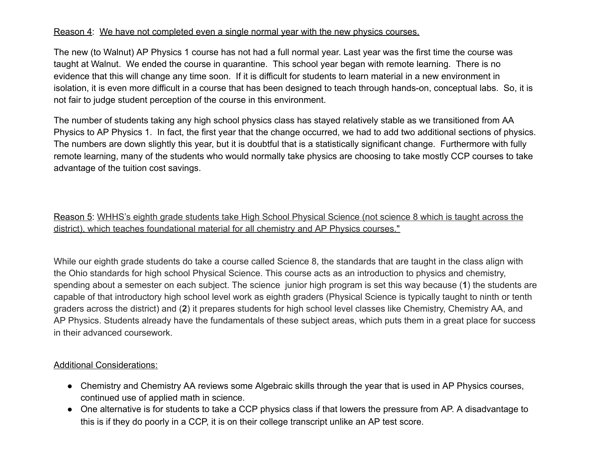#### Reason 4: We have not completed even a single normal year with the new physics courses.

The new (to Walnut) AP Physics 1 course has not had a full normal year. Last year was the first time the course was taught at Walnut. We ended the course in quarantine. This school year began with remote learning. There is no evidence that this will change any time soon. If it is difficult for students to learn material in a new environment in isolation, it is even more difficult in a course that has been designed to teach through hands-on, conceptual labs. So, it is not fair to judge student perception of the course in this environment.

The number of students taking any high school physics class has stayed relatively stable as we transitioned from AA Physics to AP Physics 1. In fact, the first year that the change occurred, we had to add two additional sections of physics. The numbers are down slightly this year, but it is doubtful that is a statistically significant change. Furthermore with fully remote learning, many of the students who would normally take physics are choosing to take mostly CCP courses to take advantage of the tuition cost savings.

Reason 5: WHHS's eighth grade students take High School Physical Science (not science 8 which is taught across the district), which teaches foundational material for all chemistry and AP Physics courses."

While our eighth grade students do take a course called Science 8, the standards that are taught in the class align with the Ohio standards for high school Physical Science. This course acts as an introduction to physics and chemistry, spending about a semester on each subject. The science junior high program is set this way because ( **1** ) the students are capable of that introductory high school level work as eighth graders (Physical Science is typically taught to ninth or tenth graders across the district) and (2) it prepares students for high school level classes like Chemistry, Chemistry AA, and AP Physics. Students already have the fundamentals of these subject areas, which puts them in a great place for success in their advanced coursework.

#### Additional Considerations:

- Chemistry and Chemistry AA reviews some Algebraic skills through the year that is used in AP Physics courses, continued use of applied math in science.
- One alternative is for students to take a CCP physics class if that lowers the pressure from AP. A disadvantage to this is if they do poorly in a CCP, it is on their college transcript unlike an AP test score.